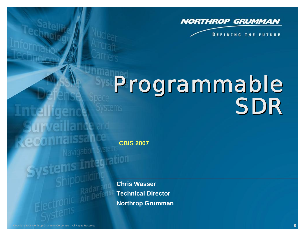

**DEFINING THE FUTURE** 

# Programmable Programmable SDR SDR

**CBIS 2007**

**Chris Wasser Technical Director Northrop Grumman**

ntelligend

**arveillance and** 

Navigation Systems

stems Integration

econnaissance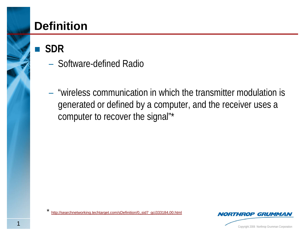# **Definition**

**SDR**

- Software-defined Radio
- "wireless communication in which the transmitter modulation is generated or defined by a computer, and the receiver uses a computer to recover the signal"\*

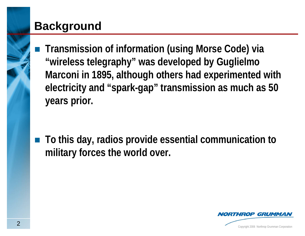# **Background**

 **Transmission of information (using Morse Code) via "wireless telegraphy" was developed by Guglielmo Marconi in 1895, although others had experimented with electricity and "spark-gap" transmission as much as 50 years prior.**

■ To this day, radios provide essential communication to **military forces the world over.**

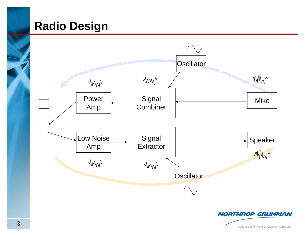#### **Radio Design**



**Copyright 2006 Northrop Grumman Corporation** 

**NORTHROP GRUMMAN**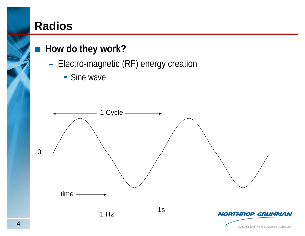#### **Radios**

#### ■ How do they work?

- Electro-magnetic (RF) energy creation
	- **Sine wave**

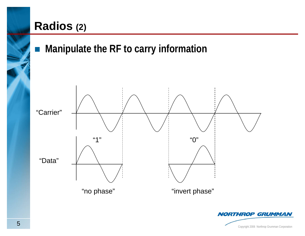#### **Radios (2)**



Copyright 2006 Northrop Grumman Corporation <sup>5</sup>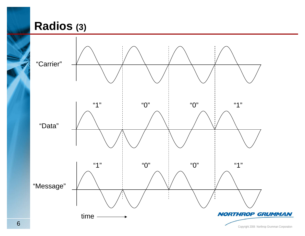# **Radios (3)**

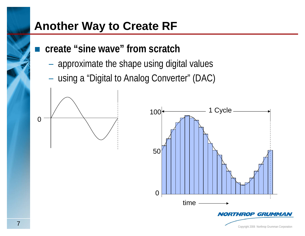# **Another Way to Create RF**

- **create "sine wave" from scratch** 
	- approximate the shape using digital values
	- using a "Digital to Analog Converter" (DAC)



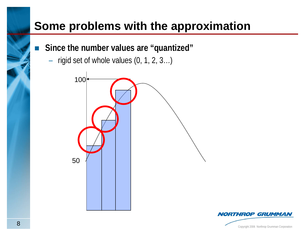# **Some problems with the approximation**

- $\mathbb{R}^2$  **Since the number values are "quantized"**
	- rigid set of whole values (0, 1, 2, 3…)



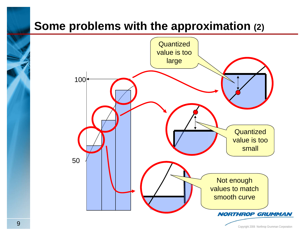# **Some problems with the approximation (2)**

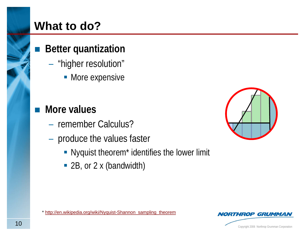# **What to do?**

#### **Better quantization**

- "higher resolution"
	- **More expensive**
- $\mathcal{L}^{\text{max}}$  **More values**
	- remember Calculus?
	- produce the values faster
		- **-** Nyquist theorem<sup>\*</sup> identifies the lower limit
		- 2B, or 2 x (bandwidth)



<sup>\*</sup> [http://en.wikipedia.org/wiki/Nyquist-Shannon\\_sampling\\_theorem](http://en.wikipedia.org/wiki/Nyquist-Shannon_sampling_theorem)

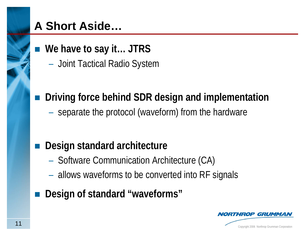# **A Short Aside…**

- We have to say it... JTRS
	- Joint Tactical Radio System

**Driving force behind SDR design and implementation**

– separate the protocol (waveform) from the hardware

#### **Design standard architecture**

- Software Communication Architecture (CA)
- allows waveforms to be converted into RF signals
- **Design of standard "waveforms"**

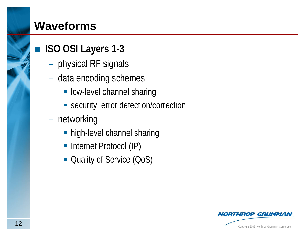#### **Waveforms**

#### ■ **ISO OSI Layers 1-3**

- physical RF signals
- data encoding schemes
	- **low-level channel sharing**
	- **Security, error detection/correction**
- networking
	- **high-level channel sharing**
	- **Internet Protocol (IP)**
	- **Quality of Service (QoS)**

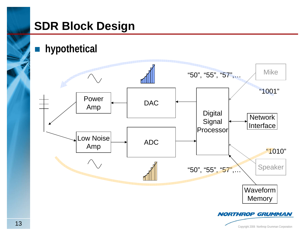# **SDR Block Design**

**hypothetical**

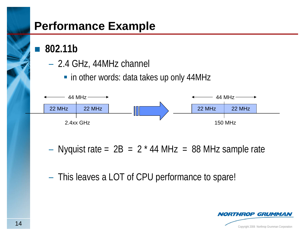### **Performance Example**

**802.11b**

- 2.4 GHz, 44MHz channel
	- in other words: data takes up only 44MHz



- Nyquist rate =  $2B = 2 * 44$  MHz = 88 MHz sample rate
- This leaves a LOT of CPU performance to spare!

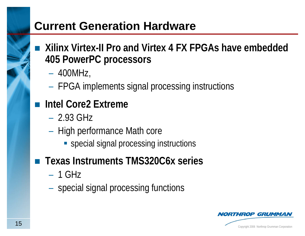### **Current Generation Hardware**

- **Xilinx Virtex-II Pro and Virtex 4 FX FPGAs have embedded 405 PowerPC processors**
	- 400MHz,
	- FPGA implements signal processing instructions
- **Intel Core2 Extreme**
	- $-2.93$  GHz
	- High performance Math core
		- **Special signal processing instructions**
- Texas Instruments TMS320C6x series
	- $-1$  GHz
	- special signal processing functions

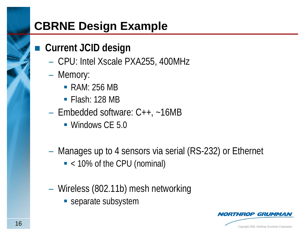# **CBRNE Design Example**

#### **Current JCID design**

- CPU: Intel Xscale PXA255, 400MHz
- Memory:
	- RAM: 256 MB
	- **Flash: 128 MB**
- Embedded software: C++, ~16MB
	- **Windows CE 5.0**
- Manages up to 4 sensors via serial (RS-232) or Ethernet
	- < 10% of the CPU (nominal)
- Wireless (802.11b) mesh networking
	- **Separate subsystem**

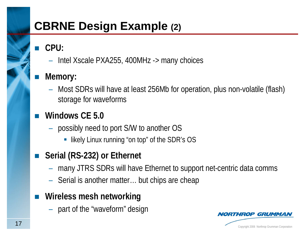# **CBRNE Design Example (2)**

- $\mathbb{R}^3$  **CPU:** 
	- Intel Xscale PXA255, 400MHz -> many choices
- **Memory:** 
	- Most SDRs will have at least 256Mb for operation, plus non-volatile (flash) storage for waveforms
- **Windows CE 5.0**
	- possibly need to port S/W to another OS
		- likely Linux running "on top" of the SDR's OS
- $\mathcal{L}^{\text{eff}}$  **Serial (RS-232) or Ethernet**
	- many JTRS SDRs will have Ethernet to support net-centric data comms
	- Serial is another matter… but chips are cheap
- $\mathcal{O}(\mathbb{R})$  **Wireless mesh networking**
	- part of the "waveform" design

ROP GRUMMA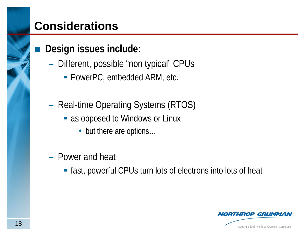### **Considerations**

#### **Design issues include:**

- Different, possible "non typical" CPUs
	- PowerPC, embedded ARM, etc.
- Real-time Operating Systems (RTOS)
	- **as opposed to Windows or Linux** 
		- ◆ but there are options...
- Power and heat
	- **Fiast, powerful CPUs turn lots of electrons into lots of heat**

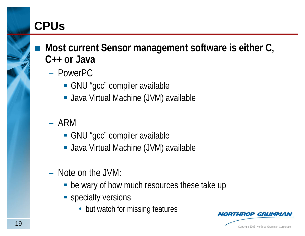# **CPUs**

 **Most current Sensor management software is either C, C++ or Java**

- PowerPC
	- GNU "gcc" compiler available
	- **Java Virtual Machine (JVM) available**
- ARM
	- GNU "gcc" compiler available
	- **Java Virtual Machine (JVM) available**
- Note on the JVM:
	- **be wary of how much resources these take up**
	- **Specialty versions** 
		- but watch for missing features



**OP GRUMM**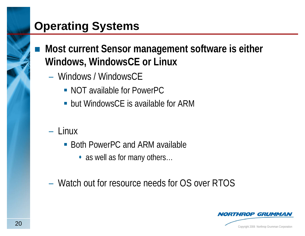# **Operating Systems**

- Most current Sensor management software is either **Windows, WindowsCE or Linux**
	- Windows / WindowsCE
		- NOT available for PowerPC
		- **but WindowsCE is available for ARM**
	- Linux
		- Both PowerPC and ARM available
			- as well as for many others...
	- Watch out for resource needs for OS over RTOS

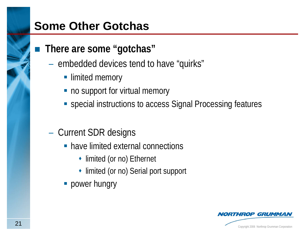#### **Some Other Gotchas**

#### **There are some "gotchas"**

- embedded devices tend to have "quirks"
	- **limited memory**
	- no support for virtual memory
	- special instructions to access Signal Processing features
- Current SDR designs
	- **-** have limited external connections
		- limited (or no) Ethernet
		- limited (or no) Serial port support
	- **Producer hungry**

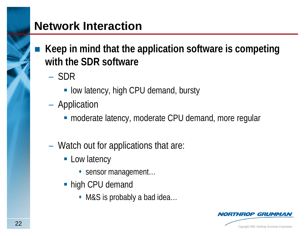#### **Network Interaction**

- **Keep in mind that the application software is competing with the SDR software**
	- SDR
		- **low latency, high CPU demand, bursty**
	- Application
		- **nanderate latency, moderate CPU demand, more regular**
	- Watch out for applications that are:
		- **Low latency** 
			- sensor management...
		- high CPU demand
			- ◆ M&S is probably a bad idea...

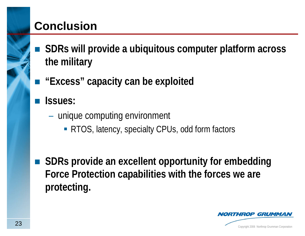# **Conclusion**

- **SDRs will provide a ubiquitous computer platform across the military**
- "Excess" capacity can be exploited
- **Issues:**
	- unique computing environment
		- RTOS, latency, specialty CPUs, odd form factors
- $\left\vert \left\langle \cdot \right\rangle \right\vert$  **SDRs provide an excellent opportunity for embedding Force Protection capabilities with the forces we are protecting.**